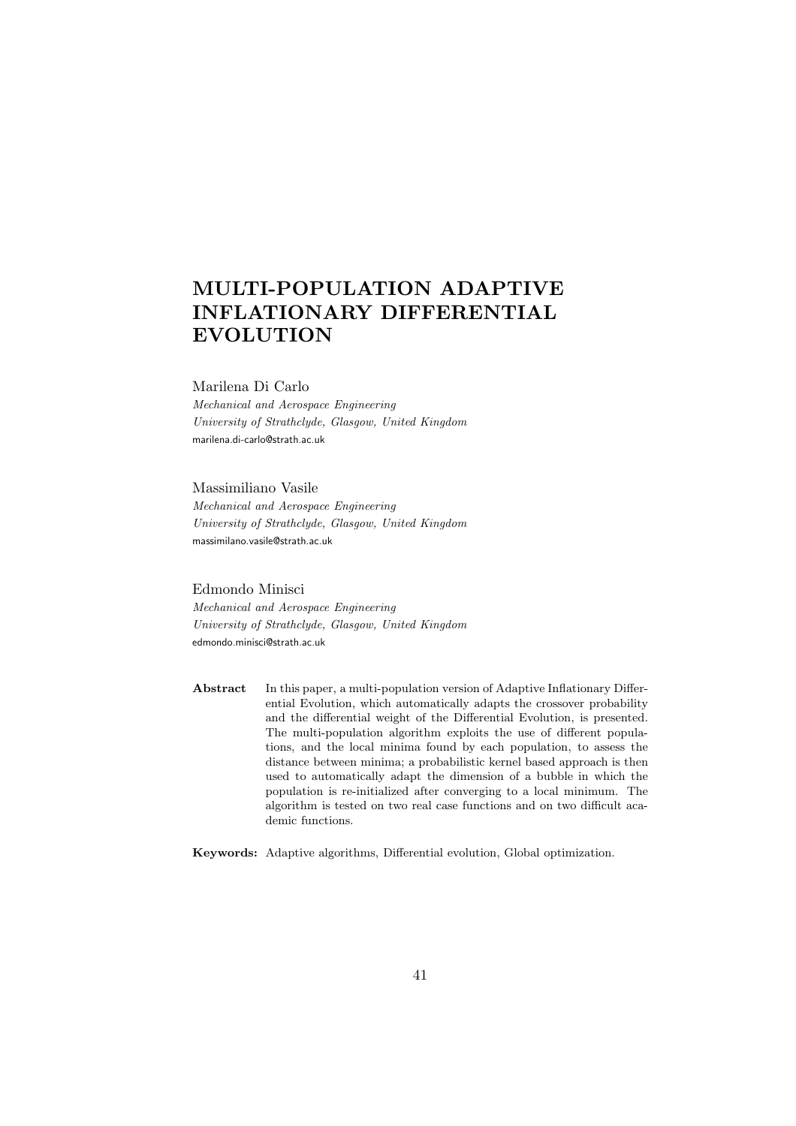# MULTI-POPULATION ADAPTIVE INFLATIONARY DIFFERENTIAL EVOLUTION

#### Marilena Di Carlo

Mechanical and Aerospace Engineering University of Strathclyde, Glasgow, United Kingdom marilena.di-carlo@strath.ac.uk

#### Massimiliano Vasile

Mechanical and Aerospace Engineering University of Strathclyde, Glasgow, United Kingdom massimilano.vasile@strath.ac.uk

#### Edmondo Minisci

Mechanical and Aerospace Engineering University of Strathclyde, Glasgow, United Kingdom edmondo.minisci@strath.ac.uk

Abstract In this paper, a multi-population version of Adaptive Inflationary Differential Evolution, which automatically adapts the crossover probability and the differential weight of the Differential Evolution, is presented. The multi-population algorithm exploits the use of different populations, and the local minima found by each population, to assess the distance between minima; a probabilistic kernel based approach is then used to automatically adapt the dimension of a bubble in which the population is re-initialized after converging to a local minimum. The algorithm is tested on two real case functions and on two difficult academic functions.

Keywords: Adaptive algorithms, Differential evolution, Global optimization.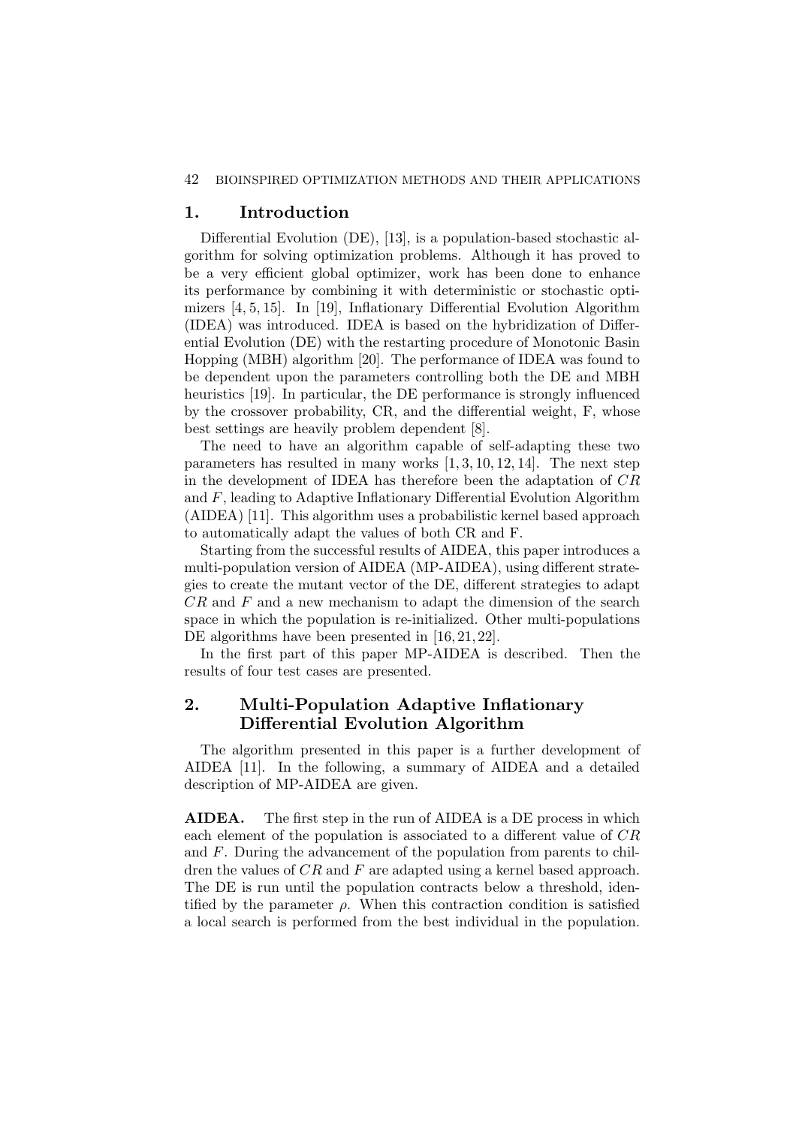#### 42 BIOINSPIRED OPTIMIZATION METHODS AND THEIR APPLICATIONS

# 1. Introduction

Differential Evolution (DE), [13], is a population-based stochastic algorithm for solving optimization problems. Although it has proved to be a very efficient global optimizer, work has been done to enhance its performance by combining it with deterministic or stochastic optimizers [4, 5, 15]. In [19], Inflationary Differential Evolution Algorithm (IDEA) was introduced. IDEA is based on the hybridization of Differential Evolution (DE) with the restarting procedure of Monotonic Basin Hopping (MBH) algorithm [20]. The performance of IDEA was found to be dependent upon the parameters controlling both the DE and MBH heuristics [19]. In particular, the DE performance is strongly influenced by the crossover probability, CR, and the differential weight, F, whose best settings are heavily problem dependent [8].

The need to have an algorithm capable of self-adapting these two parameters has resulted in many works [1, 3, 10, 12, 14]. The next step in the development of IDEA has therefore been the adaptation of CR and F, leading to Adaptive Inflationary Differential Evolution Algorithm (AIDEA) [11]. This algorithm uses a probabilistic kernel based approach to automatically adapt the values of both CR and F.

Starting from the successful results of AIDEA, this paper introduces a multi-population version of AIDEA (MP-AIDEA), using different strategies to create the mutant vector of the DE, different strategies to adapt CR and F and a new mechanism to adapt the dimension of the search space in which the population is re-initialized. Other multi-populations DE algorithms have been presented in [16, 21, 22].

In the first part of this paper MP-AIDEA is described. Then the results of four test cases are presented.

# 2. Multi-Population Adaptive Inflationary Differential Evolution Algorithm

The algorithm presented in this paper is a further development of AIDEA [11]. In the following, a summary of AIDEA and a detailed description of MP-AIDEA are given.

AIDEA. The first step in the run of AIDEA is a DE process in which each element of the population is associated to a different value of CR and F. During the advancement of the population from parents to children the values of CR and F are adapted using a kernel based approach. The DE is run until the population contracts below a threshold, identified by the parameter  $\rho$ . When this contraction condition is satisfied a local search is performed from the best individual in the population.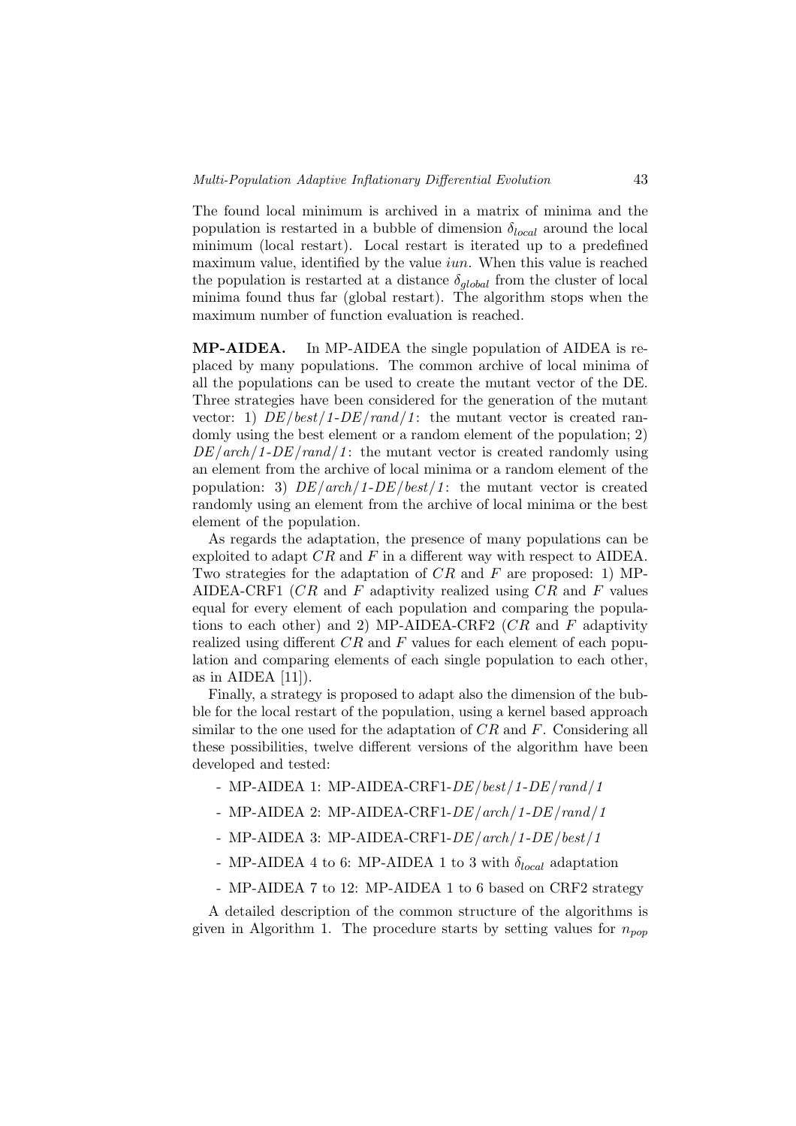The found local minimum is archived in a matrix of minima and the population is restarted in a bubble of dimension  $\delta_{local}$  around the local minimum (local restart). Local restart is iterated up to a predefined maximum value, identified by the value  $iun$ . When this value is reached the population is restarted at a distance  $\delta_{global}$  from the cluster of local minima found thus far (global restart). The algorithm stops when the maximum number of function evaluation is reached.

MP-AIDEA. In MP-AIDEA the single population of AIDEA is replaced by many populations. The common archive of local minima of all the populations can be used to create the mutant vector of the DE. Three strategies have been considered for the generation of the mutant vector: 1)  $DE/best/1-DE/rand/1$ : the mutant vector is created randomly using the best element or a random element of the population; 2)  $DE/arch/1-DE/rand/1$ : the mutant vector is created randomly using an element from the archive of local minima or a random element of the population: 3)  $DE/arch/1-DE/best/1$ : the mutant vector is created randomly using an element from the archive of local minima or the best element of the population.

As regards the adaptation, the presence of many populations can be exploited to adapt  $CR$  and  $F$  in a different way with respect to AIDEA. Two strategies for the adaptation of  $CR$  and F are proposed: 1) MP-AIDEA-CRF1  $(CR$  and F adaptivity realized using  $CR$  and F values equal for every element of each population and comparing the populations to each other) and 2) MP-AIDEA-CRF2  $(CR$  and F adaptivity realized using different  $CR$  and  $F$  values for each element of each population and comparing elements of each single population to each other, as in AIDEA  $[11]$ ).

Finally, a strategy is proposed to adapt also the dimension of the bubble for the local restart of the population, using a kernel based approach similar to the one used for the adaptation of  $CR$  and  $F$ . Considering all these possibilities, twelve different versions of the algorithm have been developed and tested:

- MP-AIDEA 1: MP-AIDEA-CRF1-DE/best/1-DE/rand/1
- MP-AIDEA 2: MP-AIDEA-CRF1-DE/arch/1-DE/rand/1
- MP-AIDEA 3: MP-AIDEA-CRF1-DE/arch/1-DE/best/1
- MP-AIDEA 4 to 6: MP-AIDEA 1 to 3 with  $\delta_{local}$  adaptation
- MP-AIDEA 7 to 12: MP-AIDEA 1 to 6 based on CRF2 strategy

A detailed description of the common structure of the algorithms is given in Algorithm 1. The procedure starts by setting values for  $n_{pop}$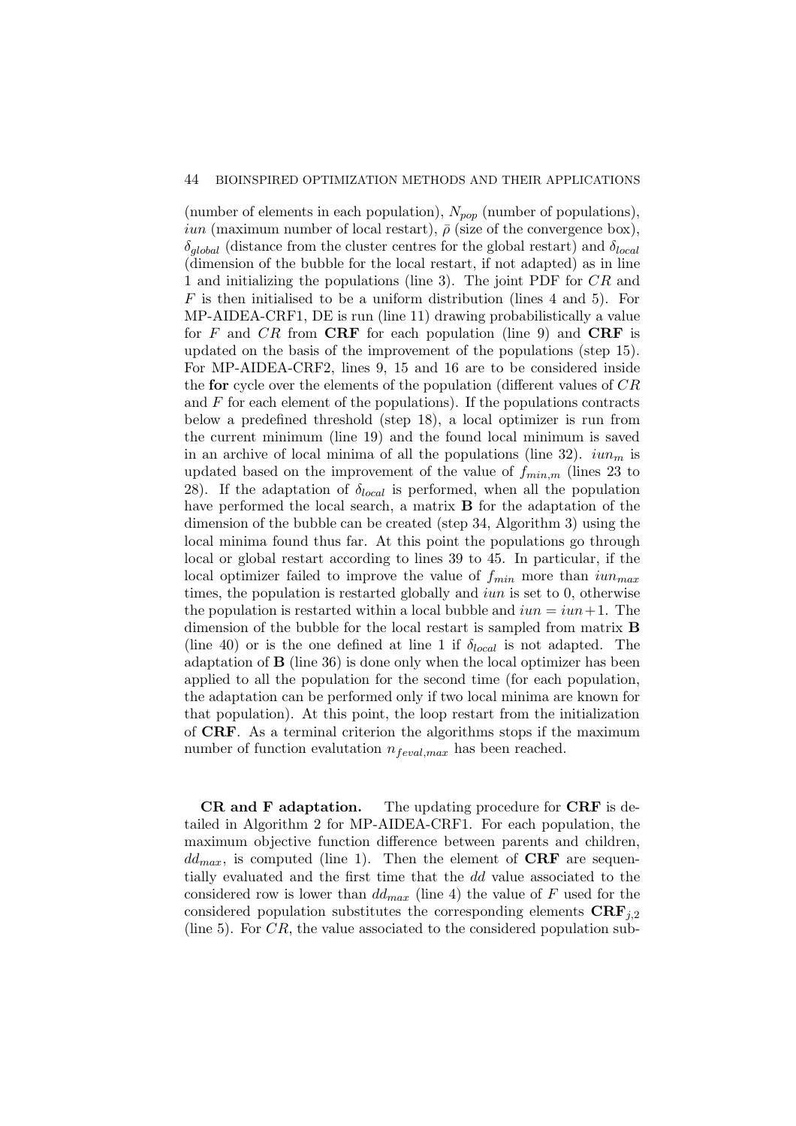#### 44 BIOINSPIRED OPTIMIZATION METHODS AND THEIR APPLICATIONS

(number of elements in each population),  $N_{pop}$  (number of populations), *iun* (maximum number of local restart),  $\bar{\rho}$  (size of the convergence box),  $\delta_{alobal}$  (distance from the cluster centres for the global restart) and  $\delta_{local}$ (dimension of the bubble for the local restart, if not adapted) as in line 1 and initializing the populations (line 3). The joint PDF for CR and  $F$  is then initialised to be a uniform distribution (lines 4 and 5). For MP-AIDEA-CRF1, DE is run (line 11) drawing probabilistically a value for F and  $CR$  from CRF for each population (line 9) and CRF is updated on the basis of the improvement of the populations (step 15). For MP-AIDEA-CRF2, lines 9, 15 and 16 are to be considered inside the **for** cycle over the elements of the population (different values of  $CR$ and  $F$  for each element of the populations). If the populations contracts below a predefined threshold (step 18), a local optimizer is run from the current minimum (line 19) and the found local minimum is saved in an archive of local minima of all the populations (line 32).  $iun_m$  is updated based on the improvement of the value of  $f_{min,m}$  (lines 23 to 28). If the adaptation of  $\delta_{local}$  is performed, when all the population have performed the local search, a matrix **B** for the adaptation of the dimension of the bubble can be created (step 34, Algorithm 3) using the local minima found thus far. At this point the populations go through local or global restart according to lines 39 to 45. In particular, if the local optimizer failed to improve the value of  $f_{min}$  more than  $iun_{max}$ times, the population is restarted globally and iun is set to 0, otherwise the population is restarted within a local bubble and  $iun = iun + 1$ . The dimension of the bubble for the local restart is sampled from matrix B (line 40) or is the one defined at line 1 if  $\delta_{local}$  is not adapted. The adaptation of B (line 36) is done only when the local optimizer has been applied to all the population for the second time (for each population, the adaptation can be performed only if two local minima are known for that population). At this point, the loop restart from the initialization of CRF. As a terminal criterion the algorithms stops if the maximum number of function evalutation  $n_{feval,max}$  has been reached.

CR and F adaptation. The updating procedure for CRF is detailed in Algorithm 2 for MP-AIDEA-CRF1. For each population, the maximum objective function difference between parents and children,  $dd_{max}$ , is computed (line 1). Then the element of CRF are sequentially evaluated and the first time that the dd value associated to the considered row is lower than  $dd_{max}$  (line 4) the value of F used for the considered population substitutes the corresponding elements  $\text{CRF}_{i,2}$ (line 5). For  $CR$ , the value associated to the considered population sub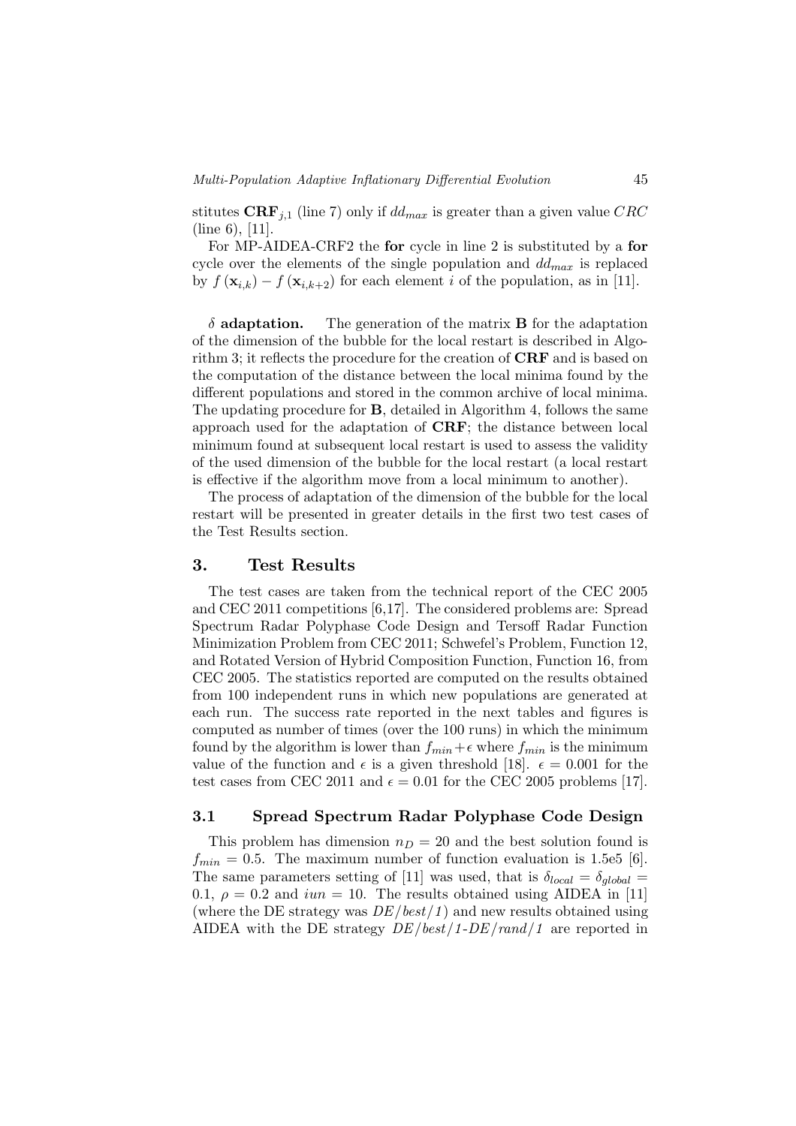stitutes CRF<sub>j,1</sub> (line 7) only if  $dd_{max}$  is greater than a given value CRC (line 6), [11].

For MP-AIDEA-CRF2 the for cycle in line 2 is substituted by a for cycle over the elements of the single population and  $dd_{max}$  is replaced by  $f(\mathbf{x}_{i,k}) - f(\mathbf{x}_{i,k+2})$  for each element i of the population, as in [11].

 $\delta$  **adaptation.** The generation of the matrix **B** for the adaptation of the dimension of the bubble for the local restart is described in Algorithm 3; it reflects the procedure for the creation of CRF and is based on the computation of the distance between the local minima found by the different populations and stored in the common archive of local minima. The updating procedure for B, detailed in Algorithm 4, follows the same approach used for the adaptation of CRF; the distance between local minimum found at subsequent local restart is used to assess the validity of the used dimension of the bubble for the local restart (a local restart is effective if the algorithm move from a local minimum to another).

The process of adaptation of the dimension of the bubble for the local restart will be presented in greater details in the first two test cases of the Test Results section.

## 3. Test Results

The test cases are taken from the technical report of the CEC 2005 and CEC 2011 competitions [6,17]. The considered problems are: Spread Spectrum Radar Polyphase Code Design and Tersoff Radar Function Minimization Problem from CEC 2011; Schwefel's Problem, Function 12, and Rotated Version of Hybrid Composition Function, Function 16, from CEC 2005. The statistics reported are computed on the results obtained from 100 independent runs in which new populations are generated at each run. The success rate reported in the next tables and figures is computed as number of times (over the 100 runs) in which the minimum found by the algorithm is lower than  $f_{min} + \epsilon$  where  $f_{min}$  is the minimum value of the function and  $\epsilon$  is a given threshold [18].  $\epsilon = 0.001$  for the test cases from CEC 2011 and  $\epsilon = 0.01$  for the CEC 2005 problems [17].

### 3.1 Spread Spectrum Radar Polyphase Code Design

This problem has dimension  $n_D = 20$  and the best solution found is  $f_{min} = 0.5$ . The maximum number of function evaluation is 1.5e5 [6]. The same parameters setting of [11] was used, that is  $\delta_{local} = \delta_{alobal}$ 0.1,  $\rho = 0.2$  and  $iun = 10$ . The results obtained using AIDEA in [11] (where the DE strategy was  $DE/best/1$ ) and new results obtained using AIDEA with the DE strategy  $DE/best/1-DE/rand/1$  are reported in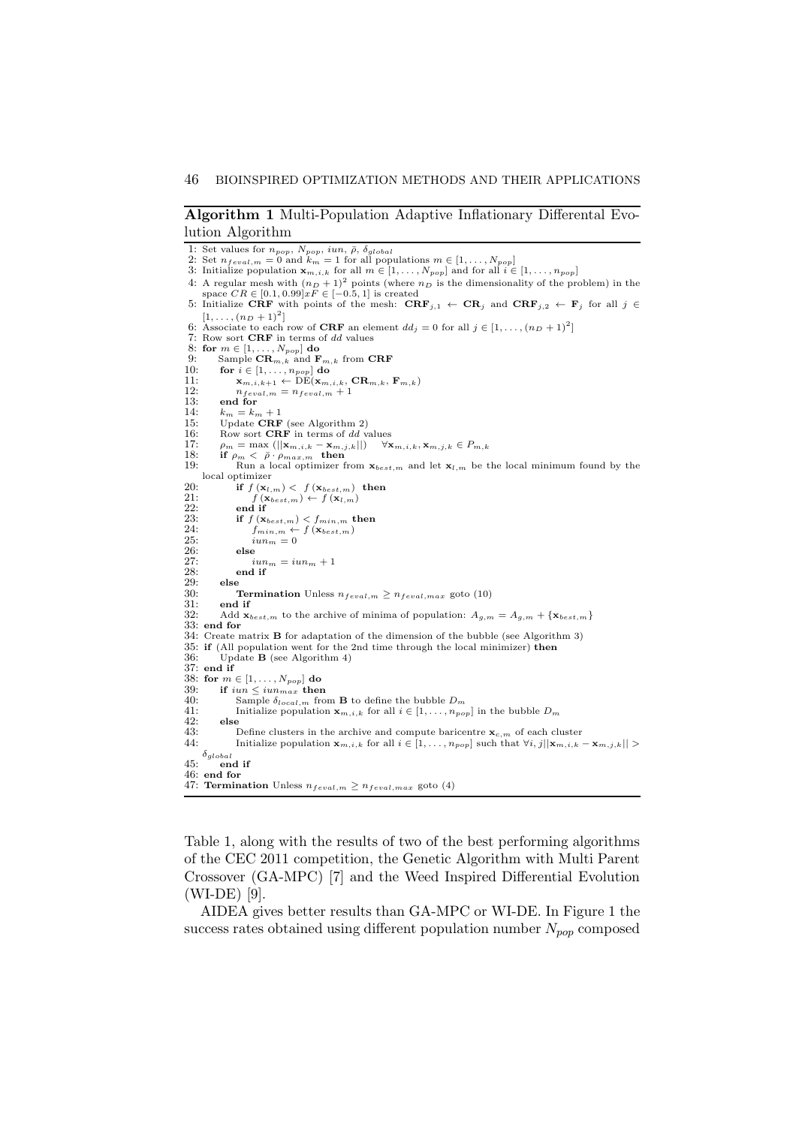#### Algorithm 1 Multi-Population Adaptive Inflationary Differental Evolution Algorithm

```
1: Set values for n_{pop}, N_{pop}, iun, \bar{\rho}, \delta_{global}<br>
2: Set n_{feval,m} = 0 and k_m = 1 for all populations m \in [1, \ldots, N_{pop}]<br>
3: Initialize population \mathbf{x}_{m,i,k} for all m \in [1, \ldots, N_{pop}] and for all i \in [1, \ldots, n_{pop}]4: A regular mesh with (n_D + 1)^2 points (where n_D is the dimensionality of the problem) in the space CR \in [0.1, 0.99] xF \in [-0.5, 1] is created
 5: Initialize CRF with points of the mesh: \text{CRF}_{j,1} \leftarrow \text{CR}_j and \text{CRF}_{j,2} \leftarrow \text{F}_j for all j \in[1, \ldots, (n_D+1)^2]6: Associate to each row of CRF an element dd_j = 0 for all j \in [1, \ldots, (n_D + 1)^2]7: Row sort CRF in terms of dd values
 8: for m \in [1, \ldots, N_{pop}] do<br>9: Sample \mathbf{CR}_{m,k} and F
9: Sample \mathbf{CR}_{m,k} and \mathbf{F}_{m,k} from \mathbf{CRF}<br>10: for i \in [1, ..., n_{\text{non}}] do
             for i \in [1, \ldots, n_{pop}] do
11: \mathbf{x}_{m,i,k+1} \leftarrow \overrightarrow{\text{DE}}(\mathbf{x}_{m,i,k}, \mathbf{CR}_{m,k}, \mathbf{F}_{m,k})<br>12: n_{recall, m} = n_{equal, m} + 112: n_{feval,m} = n_{feval,m} + 1<br>13: end for
13: end for<br>14: k_m = k_n14: k_m = k_m + 1<br>15: Update CRF (see Algorithm 2)
16: Row sort CRF in terms of dd values<br>17: \rho_m = \max \left( ||\mathbf{x}_{m,i,k} - \mathbf{x}_{m,i,k}|| \right)17: \rho_m = \max \left( ||\mathbf{x}_{m,i,k} - \mathbf{x}_{m,j,k}|| \right) \quad \forall \mathbf{x}_{m,i,k}, \mathbf{x}_{m,j,k} \in P_{m,k}<br>18: if \rho_m < \bar{\rho} \cdot \rho_{max,m} then
 19: Run a local optimizer from \mathbf{x}_{best,m} and let \mathbf{x}_{l,m} be the local minimum found by the
      local optimizer
20: if f(\mathbf{x}_{l,m}) < f(\mathbf{x}_{best,m}) then<br>
21: f(\mathbf{x}_{best,m}) \leftarrow f(\mathbf{x}_{l,m})<br>
22: end if
 21: f(\mathbf{x}_{best,m}) \leftarrow f(\mathbf{x}_{l,m})<br>
22: end if
23: if f(\mathbf{x}_{best,m}) < f_{min,m} then<br>
24: f_{min,m} \leftarrow f(\mathbf{x}_{best,m})24: f_{min,m} \leftarrow f(\mathbf{x}_{best,m})<br>
25: iun_m = 026: else<br>
27: \frac{i}{28}<br>
28: end
                         iun_m = iun_m + 128: end if 29: else
29: else<br>30: 5
30: Termination Unless n_{feval,m} \geq n_{feval,max} goto (10)<br>31: end if
31: end if<br>32: Add \mathbf{x}_iAdd \mathbf{x}_{best,m} to the archive of minima of population: A_{q,m} = A_{q,m} + {\mathbf{x}_{best,m}}33: end for
34: Create matrix B for adaptation of the dimension of the bubble (see Algorithm 3)
 35: if (All population went for the 2nd time through the local minimizer) then
36: Update B (see Algorithm 4)
37: end if
38: for m \in [1, \ldots, N_{pop}] do<br>39: if iun \leq iun_{max} then
39: if iun \leq iun_{max} then<br>40: Sample \delta_{local,m} fro<br>41: Initialize population
                    Sample \delta_{local,m} from {\bf B} to define the bubble D_m41: Initialize population \mathbf{x}_{m,i,k} for all i \in [1, \ldots, n_{pop}] in the bubble D_m<br>42: else
\begin{array}{cc} 42: & \text{else} \\ 43: & \end{array}43: Define clusters in the archive and compute baricentre \mathbf{x}_{c,m} of each cluster 44: Initialize population \mathbf{x}_{m,i,k} for all i \in [1, \ldots, n_{non}] such that \forall i, j | \mathbf{x}_{m,i,k}.
                    Initialize population \mathbf{x}_{m,i,k} for all i \in [1, \ldots, n_{pop}] such that \forall i, j \mid \mid \mathbf{x}_{m,i,k} - \mathbf{x}_{m,j,k} \mid \mid >\delta_{global}45: end if
46: end for
47: Termination Unless n_{feval,m} \geq n_{feval,max} goto (4)
```
Table 1, along with the results of two of the best performing algorithms of the CEC 2011 competition, the Genetic Algorithm with Multi Parent Crossover (GA-MPC) [7] and the Weed Inspired Differential Evolution (WI-DE) [9].

AIDEA gives better results than GA-MPC or WI-DE. In Figure 1 the success rates obtained using different population number  $N_{pop}$  composed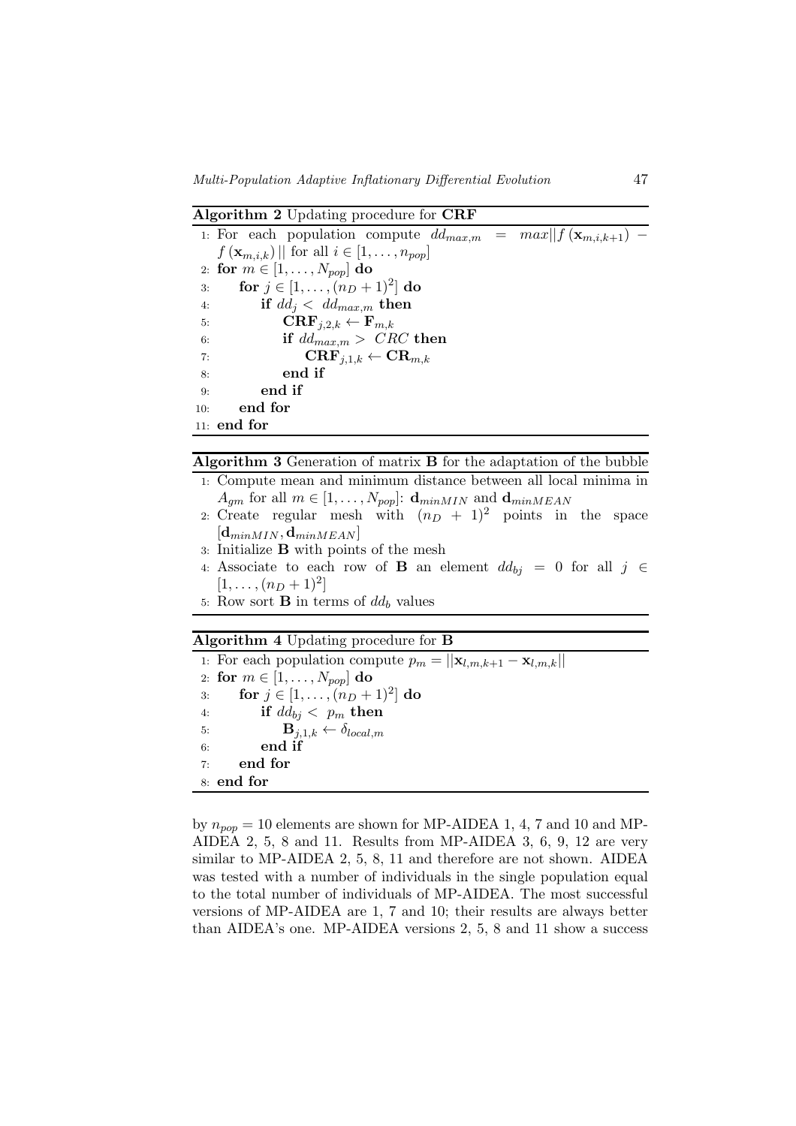Algorithm 2 Updating procedure for CRF

| 1: For each population compute $dd_{max,m} = max  f(\mathbf{x}_{m,i,k+1}) -$ |                                                     |  |
|------------------------------------------------------------------------------|-----------------------------------------------------|--|
| $f(\mathbf{x}_{m,i,k})$   for all $i \in [1,\ldots,n_{pop}]$                 |                                                     |  |
| 2: for $m \in [1, , N_{pop}]$ do                                             |                                                     |  |
| for $j \in [1, , (n_D + 1)^2]$ do<br>3:                                      |                                                     |  |
| if $dd_j < dd_{max,m}$ then<br>4:                                            |                                                     |  |
| $\mathbf{CRF}_{j,2,k} \leftarrow \mathbf{F}_{m,k}$<br>5:                     |                                                     |  |
| 6:                                                                           | if $dd_{max,m} > \text{CRC}$ then                   |  |
| 7:                                                                           | $\mathbf{CRF}_{i,1,k} \leftarrow \mathbf{CR}_{m,k}$ |  |
| end if<br>8.                                                                 |                                                     |  |
| end if<br>9:                                                                 |                                                     |  |
| end for<br>10:                                                               |                                                     |  |
| $11:$ end for                                                                |                                                     |  |

#### Algorithm 3 Generation of matrix B for the adaptation of the bubble

- 1: Compute mean and minimum distance between all local minima in  $A_{qm}$  for all  $m \in [1, \ldots, N_{pop}]$ :  $\mathbf{d}_{minMIN}$  and  $\mathbf{d}_{minMEAN}$
- 2: Create regular mesh with  $(n_D + 1)^2$  points in the space  $[\mathbf{d}_{minMIN}, \mathbf{d}_{minMEAN}]$
- 3: Initialize B with points of the mesh
- 4: Associate to each row of **B** an element  $dd_{bj} = 0$  for all  $j \in$  $[1, \ldots, (n_D+1)^2]$
- 5: Row sort **B** in terms of  $dd_b$  values

Algorithm 4 Updating procedure for B

1: For each population compute  $p_m = ||\mathbf{x}_{l,m,k+1} - \mathbf{x}_{l,m,k}||$ 2: for  $m \in [1, \ldots, N_{pop}]$  do<br>3: for  $i \in [1, \ldots, (n_D +$ 3: **for**  $j \in [1, ..., (n_D + 1)^2]$  do 4: if  $dd_{bj} < p_m$  then 5:  $\mathbf{B}_{j,1,k} \leftarrow \delta_{local,m}$ <br>6: **end if** end if 7: end for 8: end for

by  $n_{pop} = 10$  elements are shown for MP-AIDEA 1, 4, 7 and 10 and MP-AIDEA 2, 5, 8 and 11. Results from MP-AIDEA 3, 6, 9, 12 are very similar to MP-AIDEA 2, 5, 8, 11 and therefore are not shown. AIDEA was tested with a number of individuals in the single population equal to the total number of individuals of MP-AIDEA. The most successful versions of MP-AIDEA are 1, 7 and 10; their results are always better than AIDEA's one. MP-AIDEA versions 2, 5, 8 and 11 show a success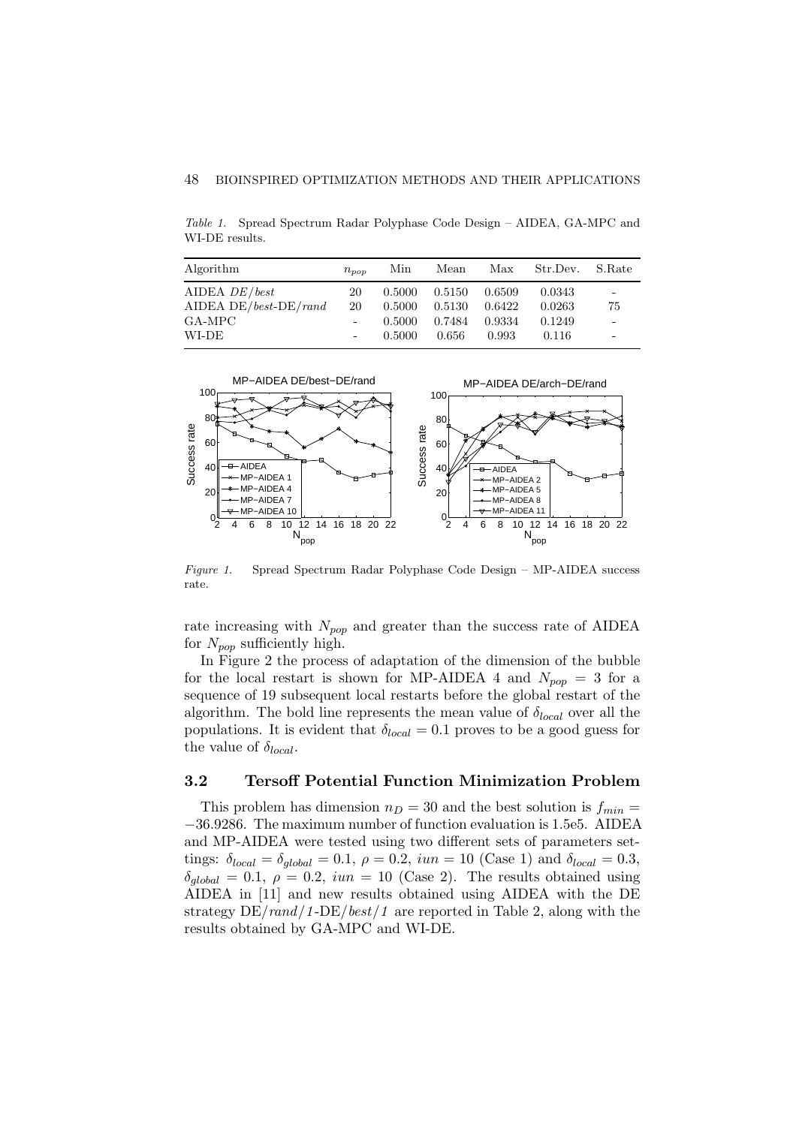Table 1. Spread Spectrum Radar Polyphase Code Design – AIDEA, GA-MPC and WI-DE results.

| Algorithm                    | $n_{pop}$ | Min    | Mean   | Max    | Str.Dev. | S.Rate                       |
|------------------------------|-----------|--------|--------|--------|----------|------------------------------|
| AIDEA $DE/best$              | 20        | 0.5000 | 0.5150 | 0.6509 | 0.0343   | $\overline{\phantom{a}}$     |
| AIDEA DE/ $best$ -DE/ $rand$ | 20        | 0.5000 | 0.5130 | 0.6422 | 0.0263   | 75                           |
| GA-MPC                       | $\bar{a}$ | 0.5000 | 0.7484 | 0.9334 | 0.1249   | $\overline{\phantom{a}}$     |
| WI-DE                        | $\bar{a}$ | 0.5000 | 0.656  | 0.993  | 0.116    | $\qquad \qquad \blacksquare$ |



Figure 1. Spread Spectrum Radar Polyphase Code Design – MP-AIDEA success rate.

rate increasing with  $N_{pop}$  and greater than the success rate of AIDEA for  $N_{pop}$  sufficiently high.

In Figure 2 the process of adaptation of the dimension of the bubble for the local restart is shown for MP-AIDEA 4 and  $N_{pop} = 3$  for a sequence of 19 subsequent local restarts before the global restart of the algorithm. The bold line represents the mean value of  $\delta_{local}$  over all the populations. It is evident that  $\delta_{local} = 0.1$  proves to be a good guess for the value of  $\delta_{local}$ .

## 3.2 Tersoff Potential Function Minimization Problem

This problem has dimension  $n_D = 30$  and the best solution is  $f_{min} =$ −36.9286. The maximum number of function evaluation is 1.5e5. AIDEA and MP-AIDEA were tested using two different sets of parameters settings:  $\delta_{local} = \delta_{global} = 0.1, \ \rho = 0.2, \ iun = 10 \ (\text{Case 1}) \text{ and } \delta_{local} = 0.3,$  $\delta_{alobal} = 0.1, \ \rho = 0.2, \ iun = 10 \ (\text{Case 2}).$  The results obtained using AIDEA in [11] and new results obtained using AIDEA with the DE strategy  $DE/rand/1-DE/best/1$  are reported in Table 2, along with the results obtained by GA-MPC and WI-DE.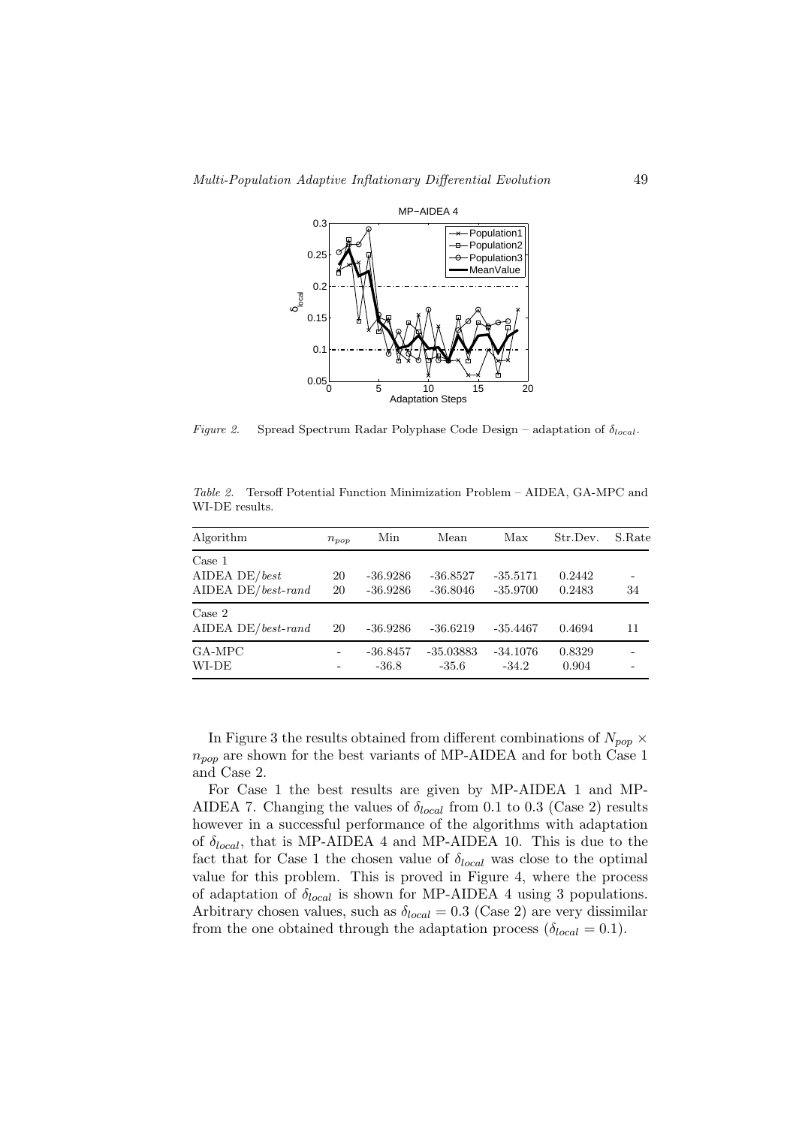

Figure 2. Spread Spectrum Radar Polyphase Code Design – adaptation of  $\delta_{local}$ .

| Algorithm                                            | $n_{pop}$ | Min                      | Mean                     | Max                      | Str.Dev.         | S.Rate |
|------------------------------------------------------|-----------|--------------------------|--------------------------|--------------------------|------------------|--------|
| Case 1<br>AIDEA DE/ $best$<br>AIDEA DE/ $best$ -rand | 20<br>20  | $-36.9286$<br>$-36.9286$ | $-36.8527$<br>$-36.8046$ | $-35.5171$<br>$-35.9700$ | 0.2442<br>0.2483 | 34     |
| Case 2<br>$AIDEA DE/best-random$                     | 20        | $-36.9286$               | $-36.6219$               | $-35.4467$               | 0.4694           | 11     |
| GA-MPC<br>WI-DE                                      | -<br>٠    | $-36.8457$<br>$-36.8$    | $-35.03883$<br>$-35.6$   | $-34.1076$<br>$-34.2$    | 0.8329<br>0.904  |        |

Table 2. Tersoff Potential Function Minimization Problem – AIDEA, GA-MPC and WI-DE results.

In Figure 3 the results obtained from different combinations of  $N_{pop} \times$  $n_{pop}$  are shown for the best variants of MP-AIDEA and for both Case 1 and Case 2.

For Case 1 the best results are given by MP-AIDEA 1 and MP-AIDEA 7. Changing the values of  $\delta_{local}$  from 0.1 to 0.3 (Case 2) results however in a successful performance of the algorithms with adaptation of  $\delta_{local}$ , that is MP-AIDEA 4 and MP-AIDEA 10. This is due to the fact that for Case 1 the chosen value of  $\delta_{local}$  was close to the optimal value for this problem. This is proved in Figure 4, where the process of adaptation of  $\delta_{local}$  is shown for MP-AIDEA 4 using 3 populations. Arbitrary chosen values, such as  $\delta_{local} = 0.3$  (Case 2) are very dissimilar from the one obtained through the adaptation process  $(\delta_{local} = 0.1)$ .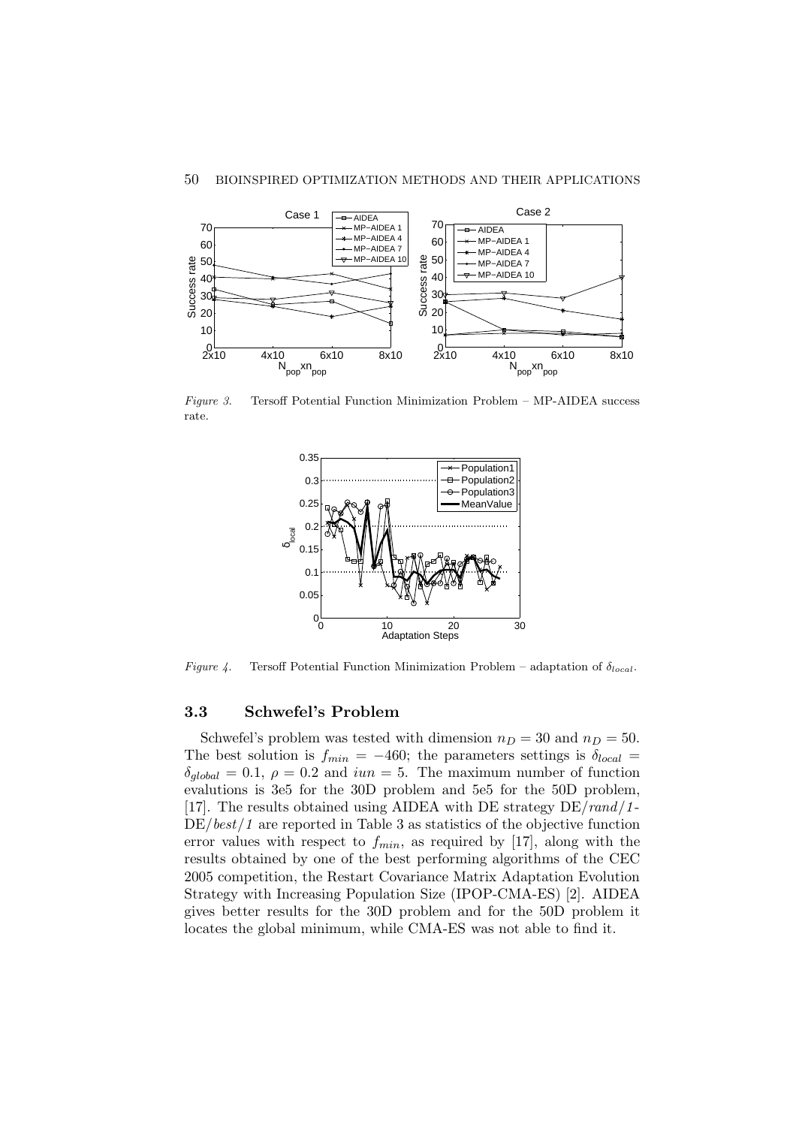

Figure 3. Tersoff Potential Function Minimization Problem – MP-AIDEA success rate.



Figure 4. Tersoff Potential Function Minimization Problem – adaptation of  $\delta_{local}$ .

## 3.3 Schwefel's Problem

Schwefel's problem was tested with dimension  $n_D = 30$  and  $n_D = 50$ . The best solution is  $f_{min} = -460$ ; the parameters settings is  $\delta_{local} =$  $\delta_{global} = 0.1, \ \rho = 0.2$  and  $iun = 5$ . The maximum number of function evalutions is 3e5 for the 30D problem and 5e5 for the 50D problem, [17]. The results obtained using AIDEA with DE strategy  $DE/rand/1$ - $DE/best/1$  are reported in Table 3 as statistics of the objective function error values with respect to  $f_{min}$ , as required by [17], along with the results obtained by one of the best performing algorithms of the CEC 2005 competition, the Restart Covariance Matrix Adaptation Evolution Strategy with Increasing Population Size (IPOP-CMA-ES) [2]. AIDEA gives better results for the 30D problem and for the 50D problem it locates the global minimum, while CMA-ES was not able to find it.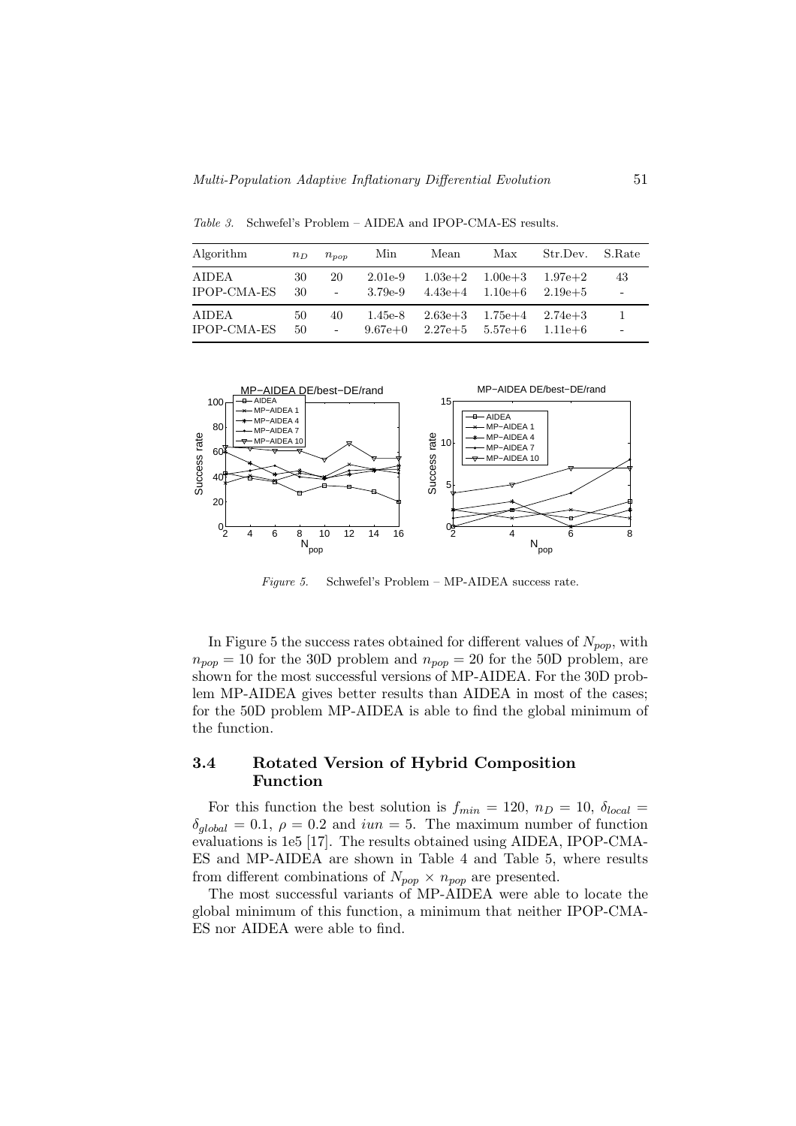Table 3. Schwefel's Problem – AIDEA and IPOP-CMA-ES results.

Algorithm  $n_D \quad n_{pop}$  Min Mean Max Str.Dev. S.Rate AIDEA 30 20 2.01e-9 1.03e+2 1.00e+3 1.97e+2 43 IPOP-CMA-ES 30 - 3.79e-9 4.43e+4 1.10e+6 2.19e+5 - AIDEA 50 40 1.45e-8 2.63e+3 1.75e+4 2.74e+3 1  $\rm{IPOP\text{-}CMA\text{-}ES} \quad 50 \qquad - \qquad 9.67e\text{+}0 \quad 2.27e\text{+}5 \quad 5.57e\text{+}6 \quad 1.11e\text{+}6$ 



Figure 5. Schwefel's Problem – MP-AIDEA success rate.

In Figure 5 the success rates obtained for different values of  $N_{pop}$ , with  $n_{pop} = 10$  for the 30D problem and  $n_{pop} = 20$  for the 50D problem, are shown for the most successful versions of MP-AIDEA. For the 30D problem MP-AIDEA gives better results than AIDEA in most of the cases; for the 50D problem MP-AIDEA is able to find the global minimum of the function.

# 3.4 Rotated Version of Hybrid Composition Function

For this function the best solution is  $f_{min} = 120$ ,  $n_D = 10$ ,  $\delta_{local} =$  $\delta_{global} = 0.1, \rho = 0.2$  and  $iun = 5$ . The maximum number of function evaluations is 1e5 [17]. The results obtained using AIDEA, IPOP-CMA-ES and MP-AIDEA are shown in Table 4 and Table 5, where results from different combinations of  $N_{pop} \times n_{pop}$  are presented.

The most successful variants of MP-AIDEA were able to locate the global minimum of this function, a minimum that neither IPOP-CMA-ES nor AIDEA were able to find.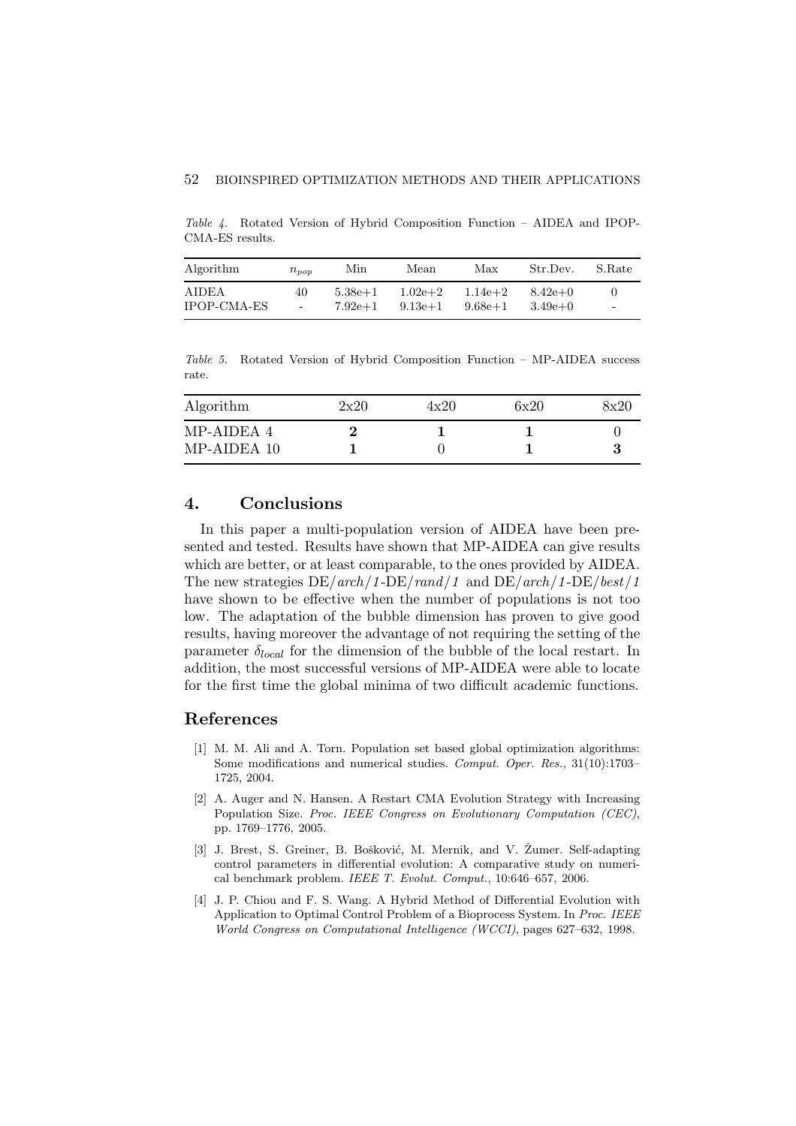Table 4. Rotated Version of Hybrid Composition Function – AIDEA and IPOP-CMA-ES results.

| Algorithm          | $n_{\text{pop}}$ | Min         | Mean        | Max         | Str.Dev.  | S.Rate                   |
|--------------------|------------------|-------------|-------------|-------------|-----------|--------------------------|
| AIDEA              | 40               | $5.38e + 1$ | $1.02e + 2$ | $1.14e + 2$ | $8.42e+0$ | $\overline{\phantom{a}}$ |
| <b>IPOP-CMA-ES</b> | $\sim$           | $7.92e+1$   | $9.13e + 1$ | $9.68e + 1$ | $3.49e+0$ |                          |

Table 5. Rotated Version of Hybrid Composition Function – MP-AIDEA success rate.

| Algorithm   | 2x20 | 4x20 | 6x20 | 8x20 |
|-------------|------|------|------|------|
| MP-AIDEA 4  |      |      |      |      |
| MP-AIDEA 10 |      |      |      |      |

# 4. Conclusions

In this paper a multi-population version of AIDEA have been presented and tested. Results have shown that MP-AIDEA can give results which are better, or at least comparable, to the ones provided by AIDEA. The new strategies  $DE/arch/1-DE/rand/1$  and  $DE/arch/1-DE/best/1$ have shown to be effective when the number of populations is not too low. The adaptation of the bubble dimension has proven to give good results, having moreover the advantage of not requiring the setting of the parameter  $\delta_{local}$  for the dimension of the bubble of the local restart. In addition, the most successful versions of MP-AIDEA were able to locate for the first time the global minima of two difficult academic functions.

### References

- [1] M. M. Ali and A. Torn. Population set based global optimization algorithms: Some modifications and numerical studies. Comput. Oper. Res., 31(10):1703– 1725, 2004.
- [2] A. Auger and N. Hansen. A Restart CMA Evolution Strategy with Increasing Population Size. Proc. IEEE Congress on Evolutionary Computation (CEC), pp. 1769–1776, 2005.
- [3] J. Brest, S. Greiner, B. Bošković, M. Mernik, and V. Žumer. Self-adapting control parameters in differential evolution: A comparative study on numerical benchmark problem. IEEE T. Evolut. Comput., 10:646–657, 2006.
- [4] J. P. Chiou and F. S. Wang. A Hybrid Method of Differential Evolution with Application to Optimal Control Problem of a Bioprocess System. In Proc. IEEE World Congress on Computational Intelligence (WCCI), pages 627–632, 1998.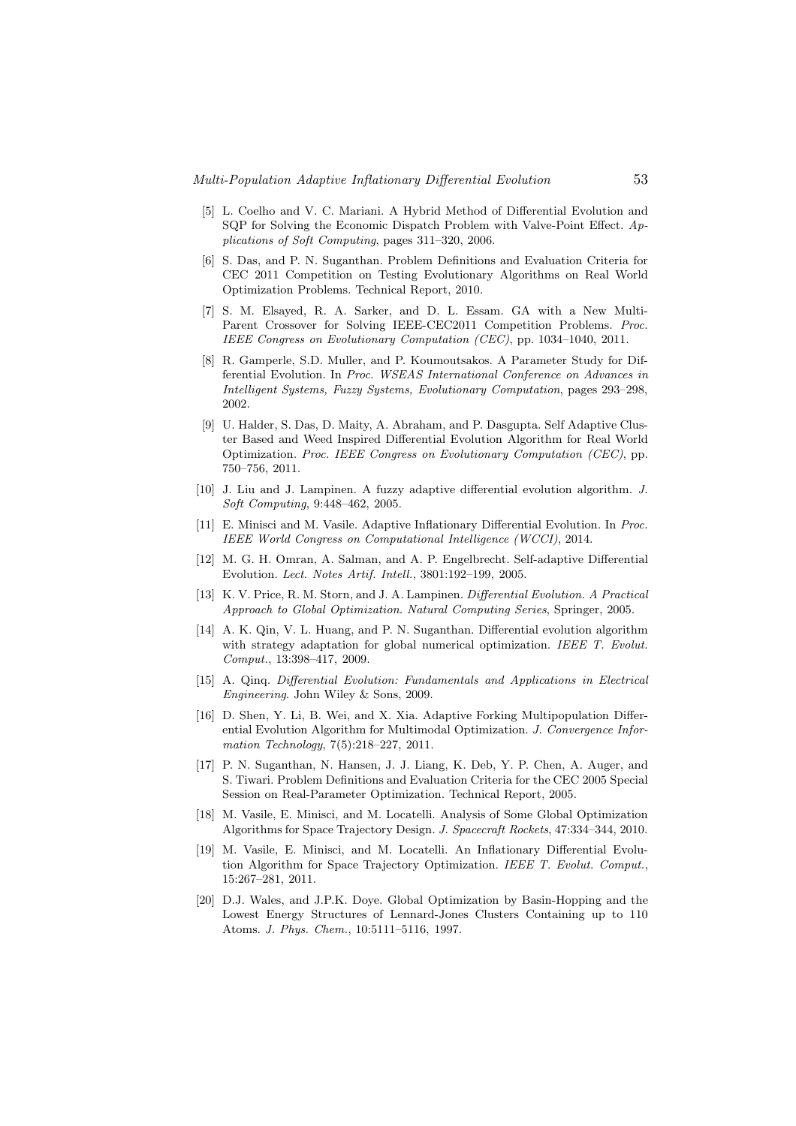- [5] L. Coelho and V. C. Mariani. A Hybrid Method of Differential Evolution and SQP for Solving the Economic Dispatch Problem with Valve-Point Effect. Applications of Soft Computing, pages 311–320, 2006.
- [6] S. Das, and P. N. Suganthan. Problem Definitions and Evaluation Criteria for CEC 2011 Competition on Testing Evolutionary Algorithms on Real World Optimization Problems. Technical Report, 2010.
- [7] S. M. Elsayed, R. A. Sarker, and D. L. Essam. GA with a New Multi-Parent Crossover for Solving IEEE-CEC2011 Competition Problems. Proc. IEEE Congress on Evolutionary Computation (CEC), pp. 1034–1040, 2011.
- [8] R. Gamperle, S.D. Muller, and P. Koumoutsakos. A Parameter Study for Differential Evolution. In Proc. WSEAS International Conference on Advances in Intelligent Systems, Fuzzy Systems, Evolutionary Computation, pages 293–298, 2002.
- [9] U. Halder, S. Das, D. Maity, A. Abraham, and P. Dasgupta. Self Adaptive Cluster Based and Weed Inspired Differential Evolution Algorithm for Real World Optimization. Proc. IEEE Congress on Evolutionary Computation (CEC), pp. 750–756, 2011.
- [10] J. Liu and J. Lampinen. A fuzzy adaptive differential evolution algorithm. J. Soft Computing, 9:448–462, 2005.
- [11] E. Minisci and M. Vasile. Adaptive Inflationary Differential Evolution. In Proc. IEEE World Congress on Computational Intelligence (WCCI), 2014.
- [12] M. G. H. Omran, A. Salman, and A. P. Engelbrecht. Self-adaptive Differential Evolution. Lect. Notes Artif. Intell., 3801:192–199, 2005.
- [13] K. V. Price, R. M. Storn, and J. A. Lampinen. Differential Evolution. A Practical Approach to Global Optimization. Natural Computing Series, Springer, 2005.
- [14] A. K. Qin, V. L. Huang, and P. N. Suganthan. Differential evolution algorithm with strategy adaptation for global numerical optimization. IEEE T. Evolut. Comput., 13:398–417, 2009.
- [15] A. Qinq. Differential Evolution: Fundamentals and Applications in Electrical Engineering. John Wiley & Sons, 2009.
- [16] D. Shen, Y. Li, B. Wei, and X. Xia. Adaptive Forking Multipopulation Differential Evolution Algorithm for Multimodal Optimization. J. Convergence Information Technology, 7(5):218–227, 2011.
- [17] P. N. Suganthan, N. Hansen, J. J. Liang, K. Deb, Y. P. Chen, A. Auger, and S. Tiwari. Problem Definitions and Evaluation Criteria for the CEC 2005 Special Session on Real-Parameter Optimization. Technical Report, 2005.
- [18] M. Vasile, E. Minisci, and M. Locatelli. Analysis of Some Global Optimization Algorithms for Space Trajectory Design. J. Spacecraft Rockets, 47:334–344, 2010.
- [19] M. Vasile, E. Minisci, and M. Locatelli. An Inflationary Differential Evolution Algorithm for Space Trajectory Optimization. IEEE T. Evolut. Comput., 15:267–281, 2011.
- [20] D.J. Wales, and J.P.K. Doye. Global Optimization by Basin-Hopping and the Lowest Energy Structures of Lennard-Jones Clusters Containing up to 110 Atoms. J. Phys. Chem., 10:5111–5116, 1997.